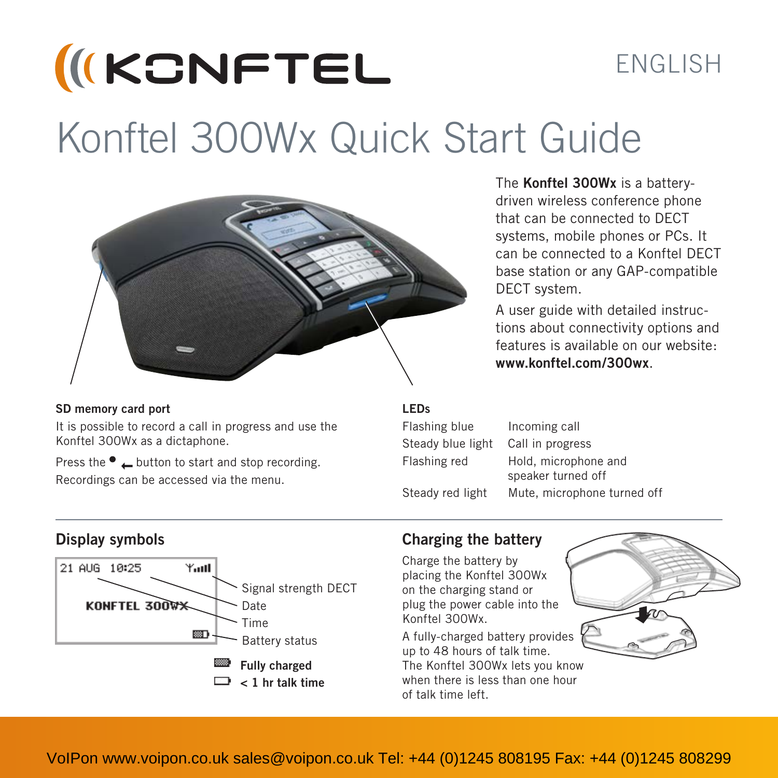# **IKCNFTEL** ENGLISH Konftel 300Wx Quick Start Guide



#### **SD memory card port**

It is possible to record a call in progress and use the Konftel 300Wx as a dictaphone.

Press the  $\bullet$   $\perp$  button to start and stop recording. Recordings can be accessed via the menu.

The **Konftel 300Wx** is a batterydriven wireless conference phone that can be connected to DECT systems, mobile phones or PCs. It can be connected to a Konftel DECT base station or any GAP-compatible DECT system.

A user guide with detailed instructions about connectivity options and features is available on our website: **www.konftel.com/300wx**.

#### **LEDs**

Flashing blue Incoming call Steady blue light Call in progress

of talk time left.

Flashing red Hold, microphone and speaker turned off Steady red light Mute, microphone turned off



#### **Display symbols Charging the battery**

Charge the battery by placing the Konftel 300Wx on the charging stand or plug the power cable into the Konftel 300Wx.

A fully-charged battery provides up to 48 hours of talk time. The Konftel 300Wx lets you know when there is less than one hour

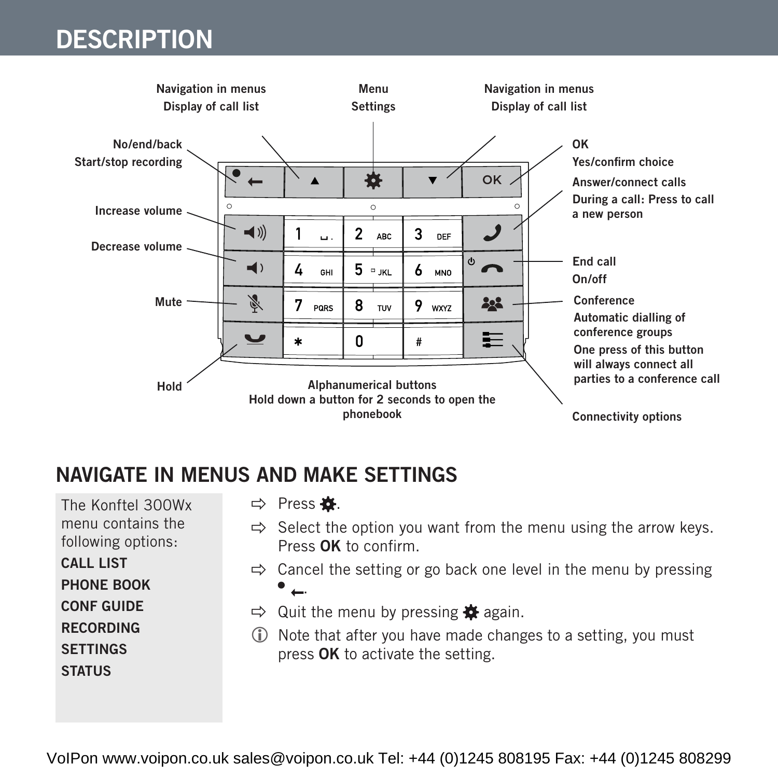

#### **NAVIGATE IN MENUS AND MAKE SETTINGS**

The Konftel 300Wx menu contains the following options:

**CALL LIST**

**PHONE BOOK**

**CONF GUIDE**

**RECORDING**

**SETTINGS**

#### **STATUS**

#### $\Rightarrow$  Press  $\bullet$ .

- $\Rightarrow$  Select the option you want from the menu using the arrow keys. Press **OK** to confirm.
- $\Rightarrow$  Cancel the setting or go back one level in the menu by pressing  $\bullet$   $\leftarrow$
- $\Rightarrow$  Quit the menu by pressing  $\bullet$  again.
- Note that after you have made changes to a setting, you must press **OK** to activate the setting.

VoIPon www.voipon.co.uk sales@voipon.co.uk Tel: +44 (0)1245 808195 Fax: +44 (0)1245 808299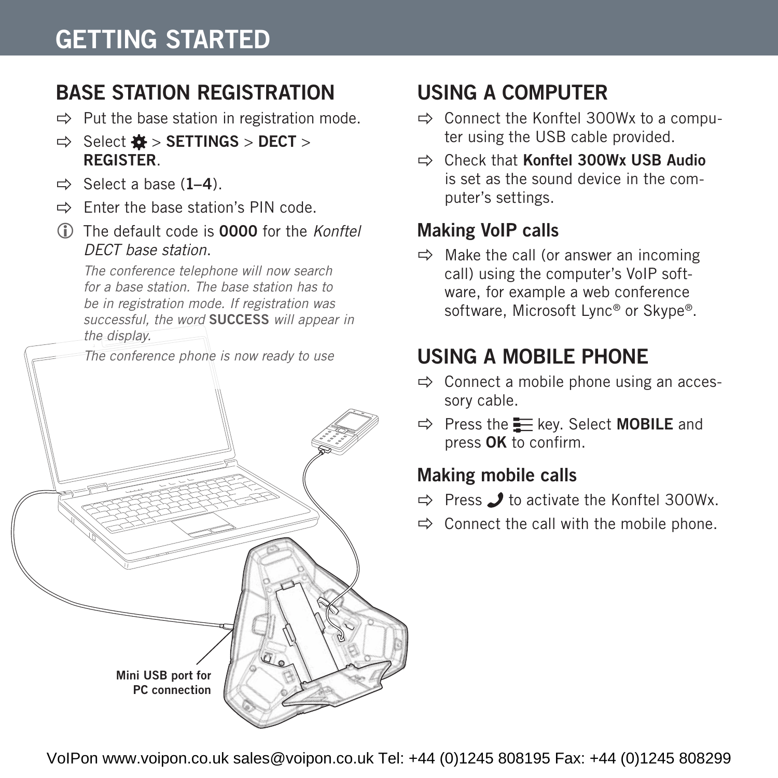## **GETTING STARTED**

#### **BASE STATION REGISTRATION**

- $\Rightarrow$  Put the base station in registration mode.
- $\Rightarrow$  Select  $\bullet$  > **SETTINGS** > **DECT** > **REGISTER**.
- $\Rightarrow$  Select a base  $(1-4)$ .
- $\Rightarrow$  Enter the base station's PIN code.
- The default code is **0000** for the *Konftel DECT base station*.

*The conference telephone will now search for a base station. The base station has to be in registration mode. If registration was successful, the word* **SUCCESS** *will appear in the display.*

*The conference phone is now ready to use*



### **USING A COMPUTER**

- $\Rightarrow$  Connect the Konftel 300Wx to a computer using the USB cable provided.
- Check that **Konftel 300Wx USB Audio** is set as the sound device in the computer's settings.

#### **Making VoIP calls**

 $\Rightarrow$  Make the call (or answer an incoming call) using the computer's VoIP software, for example a web conference software, Microsoft Lync® or Skype®.

### **USING A MOBILE PHONE**

- $\Rightarrow$  Connect a mobile phone using an accessory cable.
- $\Rightarrow$  Press the Exey. Select **MOBILE** and press **OK** to confirm.

#### **Making mobile calls**

- $\Rightarrow$  Press  $\rightarrow$  to activate the Konftel 300Wx.
- $\Rightarrow$  Connect the call with the mobile phone.